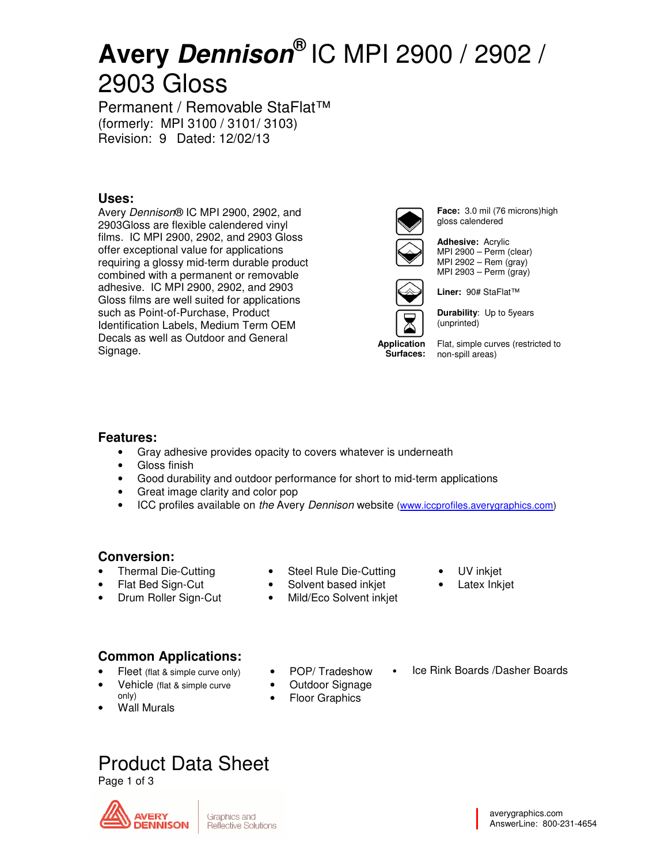# **Avery Dennison®** IC MPI 2900 / 2902 / 2903 Gloss

Permanent / Removable StaFlat™ (formerly: MPI 3100 / 3101/ 3103) Revision: 9 Dated: 12/02/13

## **Uses:**

Avery Dennison® IC MPI 2900, 2902, and 2903Gloss are flexible calendered vinyl films. IC MPI 2900, 2902, and 2903 Gloss offer exceptional value for applications requiring a glossy mid-term durable product combined with a permanent or removable adhesive. IC MPI 2900, 2902, and 2903 Gloss films are well suited for applications such as Point-of-Purchase, Product Identification Labels, Medium Term OEM Decals as well as Outdoor and General Signage.



**Face:** 3.0 mil (76 microns)high gloss calendered

**Adhesive:** Acrylic MPI 2900 – Perm (clear) MPI 2902 – Rem (gray) MPI 2903 – Perm (gray)



**Durability**: Up to 5years

**Liner:** 90# StaFlat™

(unprinted)

**Application Surfaces:** 

Flat, simple curves (restricted to non-spill areas)

## **Features:**

- Gray adhesive provides opacity to covers whatever is underneath
- Gloss finish
- Good durability and outdoor performance for short to mid-term applications
- Great image clarity and color pop
- ICC profiles available on the Avery Dennison website (www.iccprofiles.averygraphics.com)

## **Conversion:**

- Thermal Die-Cutting
- Flat Bed Sign-Cut
- Drum Roller Sign-Cut
- Steel Rule Die-Cutting
- Solvent based inkjet
- Mild/Eco Solvent inkjet
- UV inkjet
- Latex Inkjet

## **Common Applications:**

- Fleet (flat & simple curve only)
- Vehicle (flat & simple curve only)
- Wall Murals
- POP/ Tradeshow
- Outdoor Signage
- Floor Graphics
- Ice Rink Boards /Dasher Boards

## Product Data Sheet

Page 1 of 3



averygraphics.com AnswerLine: 800-231-4654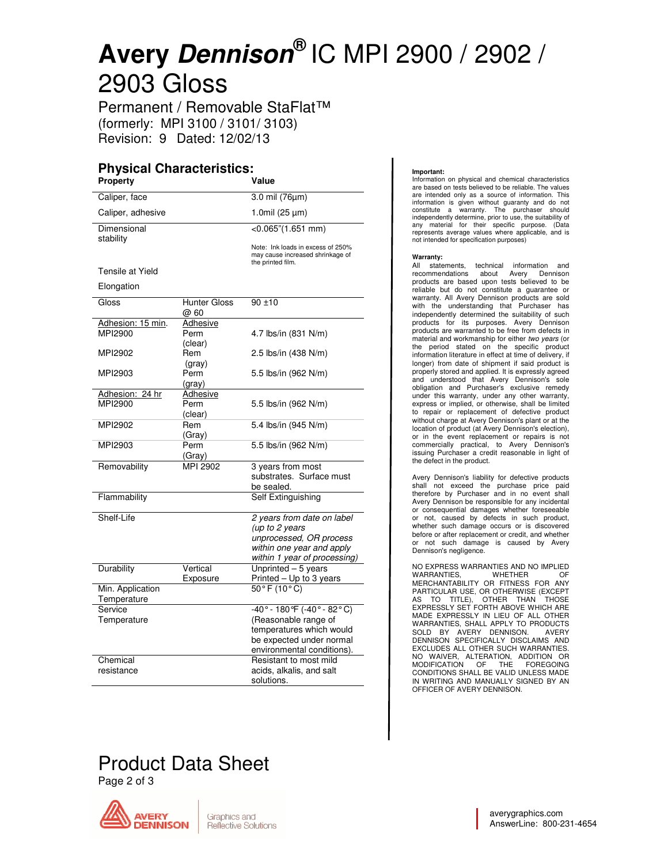# **Avery Dennison®** IC MPI 2900 / 2902 / 2903 Gloss

Permanent / Removable StaFlat™ (formerly: MPI 3100 / 3101/ 3103) Revision: 9 Dated: 12/02/13

## **Physical Characteristics:**

| Property                        |                             | Value                                                                                                                                                     |
|---------------------------------|-----------------------------|-----------------------------------------------------------------------------------------------------------------------------------------------------------|
| Caliper, face                   |                             | 3.0 mil (76µm)                                                                                                                                            |
| Caliper, adhesive               |                             | 1.0mil (25 µm)                                                                                                                                            |
| Dimensional<br>stability        |                             | $<$ 0.065"(1.651 mm)                                                                                                                                      |
|                                 |                             | Note: Ink loads in excess of 250%<br>may cause increased shrinkage of<br>the printed film.                                                                |
| Tensile at Yield                |                             |                                                                                                                                                           |
| Elongation                      |                             |                                                                                                                                                           |
| Gloss                           | <b>Hunter Gloss</b><br>@ 60 | $90 + 10$                                                                                                                                                 |
| Adhesion: 15 min.<br>MPI2900    | Adhesive<br>Perm<br>(clear) | 4.7 lbs/in (831 N/m)                                                                                                                                      |
| MPI2902                         | Rem<br>(gray)               | 2.5 lbs/in (438 N/m)                                                                                                                                      |
| MPI2903                         | Perm<br>(gray)              | 5.5 lbs/in (962 N/m)                                                                                                                                      |
| Adhesion: 24 hr<br>MPI2900      | Adhesive<br>Perm<br>(clear) | 5.5 lbs/in (962 N/m)                                                                                                                                      |
| MPI2902                         | Rem<br>(Gray)               | 5.4 lbs/in (945 N/m)                                                                                                                                      |
| MPI2903                         | Perm<br>(Gray)              | 5.5 lbs/in (962 N/m)                                                                                                                                      |
| Removability                    | MPI 2902                    | 3 years from most<br>substrates. Surface must<br>be sealed.                                                                                               |
| Flammability                    |                             | Self Extinguishing                                                                                                                                        |
| Shelf-Life                      |                             | 2 years from date on label<br>(up to 2 years<br>unprocessed, OR process<br>within one year and apply<br>within 1 year of processing)                      |
| Durability                      | Vertical<br>Exposure        | Unprinted - 5 years<br>Printed - Up to 3 years                                                                                                            |
| Min. Application<br>Temperature |                             | $50^{\circ}$ F (10 $^{\circ}$ C)                                                                                                                          |
| Service<br>Temperature          |                             | $-40^{\circ} - 180^{\circ}$ F (-40° - 82°C)<br>(Reasonable range of<br>temperatures which would<br>be expected under normal<br>environmental conditions). |
| Chemical<br>resistance          |                             | Resistant to most mild<br>acids, alkalis, and salt<br>solutions.                                                                                          |

## Product Data Sheet

Page 2 of 3



#### **Important:**

Information on physical and chemical characteristics are based on tests believed to be reliable. The values are intended only as a source of information. This information is given without guaranty and do not constitute a warranty. The purchaser should independently determine, prior to use, the suitability of any material for their specific purpose. (Data represents average values where applicable, and is not intended for specification purposes)

#### **Warranty:**

All statements, technical information and recommendations about Avery Dennison products are based upon tests believed to be reliable but do not constitute a guarantee or warranty. All Avery Dennison products are sold with the understanding that Purchaser has independently determined the suitability of such products for its purposes. Avery Dennison products are warranted to be free from defects in material and workmanship for either two years (or the period stated on the specific product information literature in effect at time of delivery, if longer) from date of shipment if said product is properly stored and applied. It is expressly agreed and understood that Avery Dennison's sole obligation and Purchaser's exclusive remedy under this warranty, under any other warranty, express or implied, or otherwise, shall be limited to repair or replacement of defective product without charge at Avery Dennison's plant or at the location of product (at Avery Dennison's election), or in the event replacement or repairs is not commercially practical, to Avery Dennison's issuing Purchaser a credit reasonable in light of the defect in the product.

Avery Dennison's liability for defective products shall not exceed the purchase price paid therefore by Purchaser and in no event shall Avery Dennison be responsible for any incidental or consequential damages whether foreseeable or not, caused by defects in such product, whether such damage occurs or is discovered before or after replacement or credit, and whether or not such damage is caused by Avery Dennison's negligence.

NO EXPRESS WARRANTIES AND NO IMPLIED WARRANTIES, WHETHER OF MERCHANTABILITY OR FITNESS FOR ANY PARTICULAR USE, OR OTHERWISE (EXCEPT AS TO TITLE), OTHER THAN THOSE EXPRESSLY SET FORTH ABOVE WHICH ARE MADE EXPRESSLY IN LIEU OF ALL OTHER WARRANTIES, SHALL APPLY TO PRODUCTS<br>SOLD BY AVERY DENNISON. AVERY<br>DENNISON SPECIFICALLY DISCLAIMS AND EXCLUDES ALL OTHER SUCH WARRANTIES. NO WAIVER, ALTERATION, ADDITION OR MODIFICATION OF THE FOREGOING CONDITIONS SHALL BE VALID UNLESS MADE IN WRITING AND MANUALLY SIGNED BY AN OFFICER OF AVERY DENNISON.